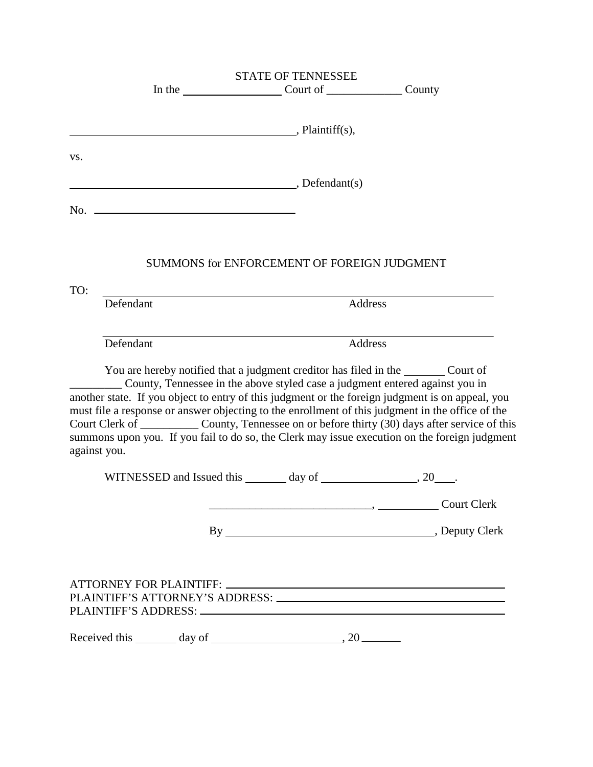|     | <b>STATE OF TENNESSEE</b>                                                                                                                                                                                                                                                                                                                                                                                                                                                                                           |                                                                              |  |
|-----|---------------------------------------------------------------------------------------------------------------------------------------------------------------------------------------------------------------------------------------------------------------------------------------------------------------------------------------------------------------------------------------------------------------------------------------------------------------------------------------------------------------------|------------------------------------------------------------------------------|--|
|     |                                                                                                                                                                                                                                                                                                                                                                                                                                                                                                                     | In the <u>counter-countering</u> Count of <u>countering</u> County           |  |
|     |                                                                                                                                                                                                                                                                                                                                                                                                                                                                                                                     |                                                                              |  |
|     | $\overline{\phantom{a}}$ , Plaintiff(s),                                                                                                                                                                                                                                                                                                                                                                                                                                                                            |                                                                              |  |
| VS. |                                                                                                                                                                                                                                                                                                                                                                                                                                                                                                                     |                                                                              |  |
|     |                                                                                                                                                                                                                                                                                                                                                                                                                                                                                                                     |                                                                              |  |
|     | $\overline{\phantom{a}}$ , Defendant(s)                                                                                                                                                                                                                                                                                                                                                                                                                                                                             |                                                                              |  |
|     |                                                                                                                                                                                                                                                                                                                                                                                                                                                                                                                     |                                                                              |  |
|     |                                                                                                                                                                                                                                                                                                                                                                                                                                                                                                                     |                                                                              |  |
|     |                                                                                                                                                                                                                                                                                                                                                                                                                                                                                                                     |                                                                              |  |
|     |                                                                                                                                                                                                                                                                                                                                                                                                                                                                                                                     | SUMMONS for ENFORCEMENT OF FOREIGN JUDGMENT                                  |  |
| TO: |                                                                                                                                                                                                                                                                                                                                                                                                                                                                                                                     |                                                                              |  |
|     | Defendant                                                                                                                                                                                                                                                                                                                                                                                                                                                                                                           | Address                                                                      |  |
|     |                                                                                                                                                                                                                                                                                                                                                                                                                                                                                                                     |                                                                              |  |
|     | Defendant                                                                                                                                                                                                                                                                                                                                                                                                                                                                                                           | Address                                                                      |  |
|     | You are hereby notified that a judgment creditor has filed in the _________ Court of<br>another state. If you object to entry of this judgment or the foreign judgment is on appeal, you<br>must file a response or answer objecting to the enrollment of this judgment in the office of the<br>Court Clerk of _____________ County, Tennessee on or before thirty (30) days after service of this<br>summons upon you. If you fail to do so, the Clerk may issue execution on the foreign judgment<br>against you. | County, Tennessee in the above styled case a judgment entered against you in |  |
|     |                                                                                                                                                                                                                                                                                                                                                                                                                                                                                                                     |                                                                              |  |
|     |                                                                                                                                                                                                                                                                                                                                                                                                                                                                                                                     | Court Clerk                                                                  |  |
|     |                                                                                                                                                                                                                                                                                                                                                                                                                                                                                                                     |                                                                              |  |
|     |                                                                                                                                                                                                                                                                                                                                                                                                                                                                                                                     |                                                                              |  |
|     | ATTORNEY FOR PLAINTIFF: New York Contract ATTORNEY FOR PLAINTIFF:<br>PLAINTIFF'S ATTORNEY'S ADDRESS: University of the Contract of the Contract of the Contract of the Contract of                                                                                                                                                                                                                                                                                                                                  |                                                                              |  |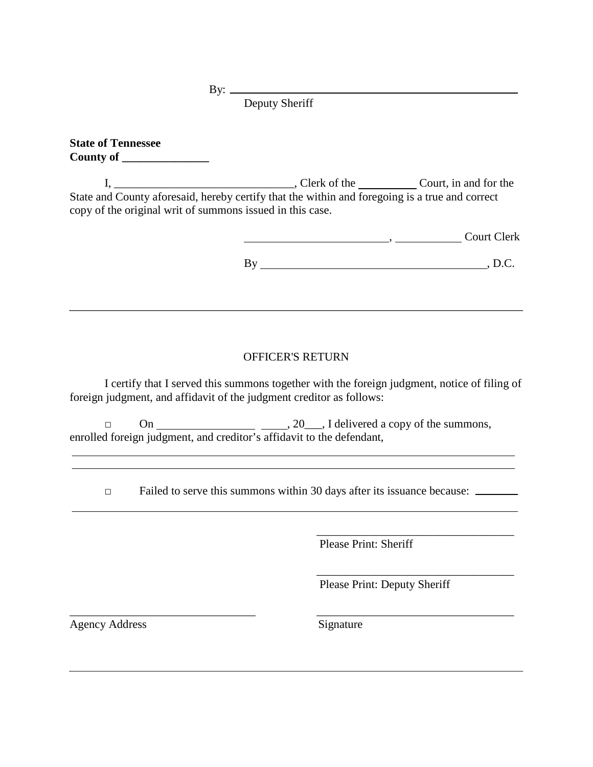By: $-$ 

Deputy Sheriff

**State of Tennessee County of \_\_\_\_\_\_\_\_\_\_\_\_\_\_\_**

I, \_\_\_\_\_\_\_\_\_\_\_\_\_\_\_\_\_\_\_\_\_\_\_\_\_\_\_\_\_\_\_\_\_\_, Clerk of the \_\_\_\_\_\_\_\_\_\_\_ Court, in and for the State and County aforesaid, hereby certify that the within and foregoing is a true and correct copy of the original writ of summons issued in this case.

———————————————————— Court Clerk

By , D.C.

## OFFICER'S RETURN

I certify that I served this summons together with the foreign judgment, notice of filing of foreign judgment, and affidavit of the judgment creditor as follows:

 $\Box$  On  $\underline{\hspace{2cm}}$  , 20, I delivered a copy of the summons, enrolled foreign judgment, and creditor's affidavit to the defendant,

□ Failed to serve this summons within 30 days after its issuance because:

\_\_\_\_\_\_\_\_\_\_\_\_\_\_\_\_\_\_\_\_\_\_\_\_\_\_\_\_\_\_\_\_ \_\_\_\_\_\_\_\_\_\_\_\_\_\_\_\_\_\_\_\_\_\_\_\_\_\_\_\_\_\_\_\_\_\_

 $\overline{\phantom{a}}$  ,  $\overline{\phantom{a}}$  ,  $\overline{\phantom{a}}$  ,  $\overline{\phantom{a}}$  ,  $\overline{\phantom{a}}$  ,  $\overline{\phantom{a}}$  ,  $\overline{\phantom{a}}$  ,  $\overline{\phantom{a}}$  ,  $\overline{\phantom{a}}$  ,  $\overline{\phantom{a}}$  ,  $\overline{\phantom{a}}$  ,  $\overline{\phantom{a}}$  ,  $\overline{\phantom{a}}$  ,  $\overline{\phantom{a}}$  ,  $\overline{\phantom{a}}$  ,  $\overline{\phantom{a}}$ Please Print: Sheriff

Please Print: Deputy Sheriff

\_\_\_\_\_\_\_\_\_\_\_\_\_\_\_\_\_\_\_\_\_\_\_\_\_\_\_\_\_\_\_\_\_\_

<u> 1989 - Johann Barbara, martxa alemaniar a</u>

Agency Address Signature